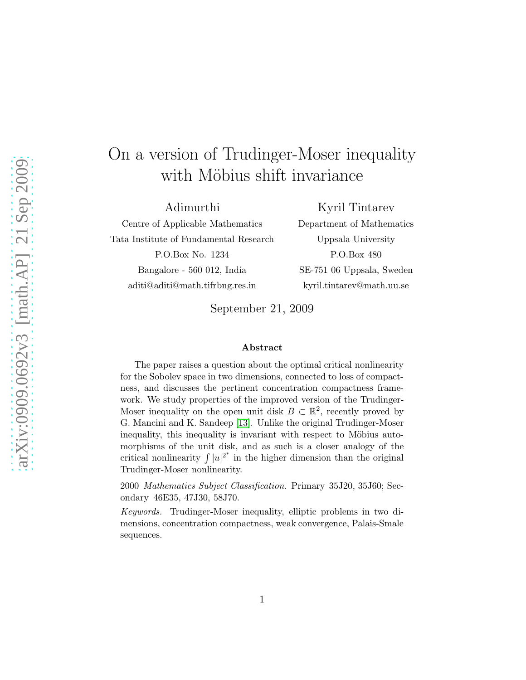# On a version of Trudinger-Moser inequality with Möbius shift invariance

Adimurthi Centre of Applicable Mathematics Tata Institute of Fundamental Research P.O.Box No. 1234 Bangalore - 560 012, India aditi@aditi@math.tifrbng.res.in

Kyril Tintarev Department of Mathematics Uppsala University P.O.Box 480 SE-751 06 Uppsala, Sweden kyril.tintarev@math.uu.se

September 21, 2009

#### Abstract

The paper raises a question about the optimal critical nonlinearity for the Sobolev space in two dimensions, connected to loss of compactness, and discusses the pertinent concentration compactness framework. We study properties of the improved version of the Trudinger-Moser inequality on the open unit disk  $B \subset \mathbb{R}^2$ , recently proved by G. Mancini and K. Sandeep [\[13\]](#page-13-0). Unlike the original Trudinger-Moser inequality, this inequality is invariant with respect to Möbius automorphisms of the unit disk, and as such is a closer analogy of the critical nonlinearity  $\int |u|^{2^*}$  in the higher dimension than the original Trudinger-Moser nonlinearity.

2000 Mathematics Subject Classification. Primary 35J20, 35J60; Secondary 46E35, 47J30, 58J70.

Keywords. Trudinger-Moser inequality, elliptic problems in two dimensions, concentration compactness, weak convergence, Palais-Smale sequences.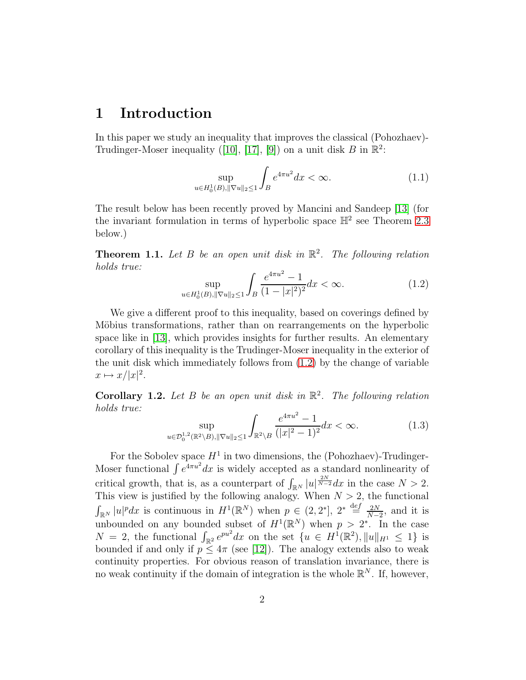## 1 Introduction

In this paper we study an inequality that improves the classical (Pohozhaev)- Trudinger-Moser inequality ([\[10\]](#page-13-1), [\[17\]](#page-14-0), [\[9\]](#page-13-2)) on a unit disk B in  $\mathbb{R}^2$ :

$$
\sup_{u \in H_0^1(B), \|\nabla u\|_2 \le 1} \int_B e^{4\pi u^2} dx < \infty. \tag{1.1}
$$

The result below has been recently proved by Mancini and Sandeep [\[13\]](#page-13-0) (for the invariant formulation in terms of hyperbolic space  $\mathbb{H}^2$  see Theorem [2.3](#page-6-0) below.)

<span id="page-1-1"></span>**Theorem 1.1.** Let B be an open unit disk in  $\mathbb{R}^2$ . The following relation holds true:  $\overline{2}$ 

<span id="page-1-0"></span>
$$
\sup_{u \in H_0^1(B), \|\nabla u\|_2 \le 1} \int_B \frac{e^{4\pi u^2} - 1}{(1 - |x|^2)^2} dx < \infty. \tag{1.2}
$$

We give a different proof to this inequality, based on coverings defined by Möbius transformations, rather than on rearrangements on the hyperbolic space like in [\[13\]](#page-13-0), which provides insights for further results. An elementary corollary of this inequality is the Trudinger-Moser inequality in the exterior of the unit disk which immediately follows from [\(1.2\)](#page-1-0) by the change of variable  $x \mapsto x/|x|^2.$ 

Corollary 1.2. Let B be an open unit disk in  $\mathbb{R}^2$ . The following relation holds true:  $4 - 2$ 

$$
\sup_{u \in \mathcal{D}_0^{1,2}(\mathbb{R}^2 \setminus B), \|\nabla u\|_2 \le 1} \int_{\mathbb{R}^2 \setminus B} \frac{e^{4\pi u^2} - 1}{(|x|^2 - 1)^2} dx < \infty. \tag{1.3}
$$

For the Sobolev space  $H^1$  in two dimensions, the (Pohozhaev)-Trudinger-Moser functional  $\int e^{4\pi u^2} dx$  is widely accepted as a standard nonlinearity of critical growth, that is, as a counterpart of  $\int_{\mathbb{R}^N} |u|^{\frac{2N}{N-2}} dx$  in the case  $N > 2$ . This view is justified by the following analogy. When  $N > 2$ , the functional  $\int_{\mathbb{R}^N} |u|^p dx$  is continuous in  $H^1(\mathbb{R}^N)$  when  $p \in (2, 2^*], 2^* \stackrel{\text{def}}{=} \frac{2N}{N-1}$  $\frac{2N}{N-2}$ , and it is unbounded on any bounded subset of  $H^1(\mathbb{R}^N)$  when  $p > 2^*$ . In the case  $N = 2$ , the functional  $\int_{\mathbb{R}^2} e^{pu^2} dx$  on the set  $\{u \in H^1(\mathbb{R}^2), ||u||_{H^1} \leq 1\}$  is bounded if and only if  $p \leq 4\pi$  (see [\[12\]](#page-13-3)). The analogy extends also to weak continuity properties. For obvious reason of translation invariance, there is no weak continuity if the domain of integration is the whole  $\mathbb{R}^N$ . If, however,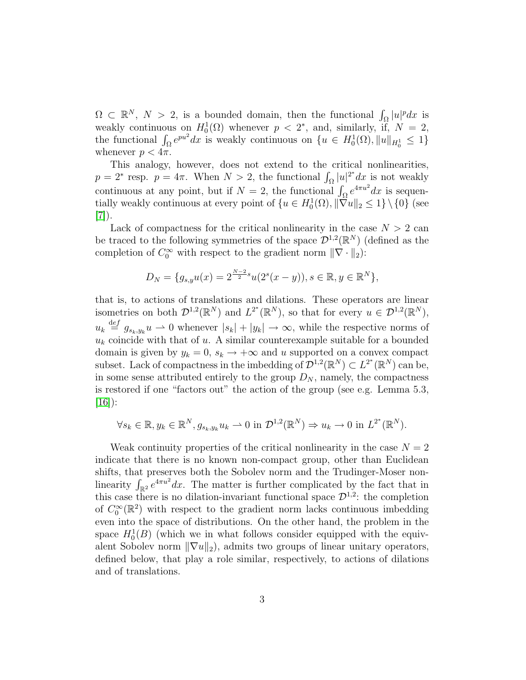$\Omega \subset \mathbb{R}^N$ ,  $N > 2$ , is a bounded domain, then the functional  $\int_{\Omega} |u|^p dx$  is weakly continuous on  $H_0^1(\Omega)$  whenever  $p < 2^*$ , and, similarly, if,  $N = 2$ , the functional  $\int_{\Omega} e^{pu^2} dx$  is weakly continuous on  $\{u \in H_0^1(\Omega), ||u||_{H_0^1} \leq 1\}$ whenever  $p < 4\pi$ .

This analogy, however, does not extend to the critical nonlinearities,  $p = 2^*$  resp.  $p = 4\pi$ . When  $N > 2$ , the functional  $\int_{\Omega} |u|^{2^*} dx$  is not weakly continuous at any point, but if  $N = 2$ , the functional  $\int_{\Omega} e^{4\pi u^2} dx$  is sequentially weakly continuous at every point of  $\{u \in H_0^1(\Omega), ||\nabla u||_2 \leq 1\} \setminus \{0\}$  (see  $|7|$ ).

Lack of compactness for the critical nonlinearity in the case  $N > 2$  can be traced to the following symmetries of the space  $\mathcal{D}^{1,2}(\mathbb{R}^N)$  (defined as the completion of  $C_0^{\infty}$  with respect to the gradient norm  $\|\nabla \cdot \|_2$ :

$$
D_N = \{g_{s,y}u(x) = 2^{\frac{N-2}{2}s}u(2^s(x-y)), s \in \mathbb{R}, y \in \mathbb{R}^N\},\
$$

that is, to actions of translations and dilations. These operators are linear isometries on both  $\mathcal{D}^{1,2}(\mathbb{R}^N)$  and  $L^{2^*}(\mathbb{R}^N)$ , so that for every  $u \in \mathcal{D}^{1,2}(\mathbb{R}^N)$ ,  $u_k \stackrel{\text{def}}{=} g_{s_k,y_k} u \longrightarrow 0$  whenever  $|s_k| + |y_k| \longrightarrow \infty$ , while the respective norms of  $u_k$  coincide with that of  $u$ . A similar counterexample suitable for a bounded domain is given by  $y_k = 0$ ,  $s_k \to +\infty$  and u supported on a convex compact subset. Lack of compactness in the imbedding of  $\mathcal{D}^{1,2}(\mathbb{R}^N) \subset L^{2^*}(\mathbb{R}^N)$  can be, in some sense attributed entirely to the group  $D_N$ , namely, the compactness is restored if one "factors out" the action of the group (see e.g. Lemma 5.3,  $[16]$ :

$$
\forall s_k \in \mathbb{R}, y_k \in \mathbb{R}^N, g_{s_k, y_k} u_k \to 0 \text{ in } \mathcal{D}^{1,2}(\mathbb{R}^N) \Rightarrow u_k \to 0 \text{ in } L^{2^*}(\mathbb{R}^N).
$$

Weak continuity properties of the critical nonlinearity in the case  $N = 2$ indicate that there is no known non-compact group, other than Euclidean shifts, that preserves both the Sobolev norm and the Trudinger-Moser nonlinearity  $\int_{\mathbb{R}^2} e^{4\pi u^2} dx$ . The matter is further complicated by the fact that in this case there is no dilation-invariant functional space  $\mathcal{D}^{1,2}$ : the completion of  $C_0^{\infty}(\mathbb{R}^2)$  with respect to the gradient norm lacks continuous imbedding even into the space of distributions. On the other hand, the problem in the space  $H_0^1(B)$  (which we in what follows consider equipped with the equivalent Sobolev norm  $\|\nabla u\|_2$ , admits two groups of linear unitary operators, defined below, that play a role similar, respectively, to actions of dilations and of translations.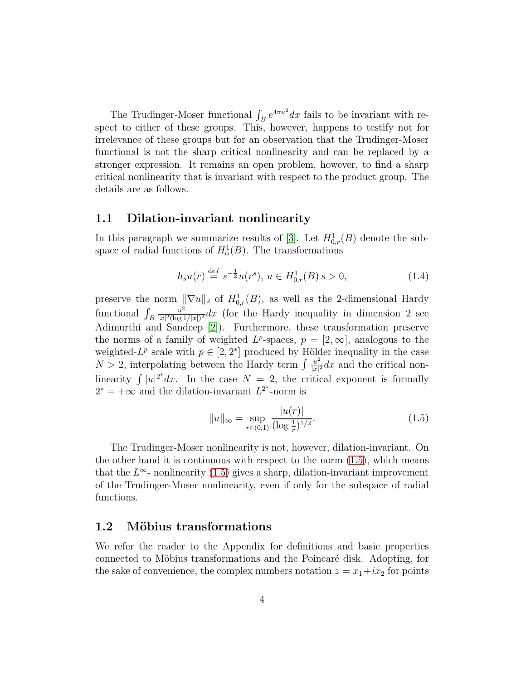The Trudinger-Moser functional  $\int_B e^{4\pi u^2} dx$  fails to be invariant with respect to either of these groups. This, however, happens to testify not for irrelevance of these groups but for an observation that the Trudinger-Moser functional is not the sharp critical nonlinearity and can be replaced by a stronger expression. It remains an open problem, however, to find a sharp critical nonlinearity that is invariant with respect to the product group. The details are as follows.

#### 1.1 Dilation-invariant nonlinearity

In this paragraph we summarize results of [\[3\]](#page-13-5). Let  $H^1_{0,r}(B)$  denote the subspace of radial functions of  $H_0^1(B)$ . The transformations

$$
h_s u(r) \stackrel{\text{def}}{=} s^{-\frac{1}{2}} u(r^s), \ u \in H^1_{0,r}(B) \, s > 0,\tag{1.4}
$$

preserve the norm  $\|\nabla u\|_2$  of  $H^1_{0,r}(B)$ , as well as the 2-dimensional Hardy functional  $\int_B$  $u^2$  $\frac{u^2}{|x|^2(\log 1/|x|)^2}dx$  (for the Hardy inequality in dimension 2 see Adimurthi and Sandeep [\[2\]](#page-13-6)). Furthermore, these transformation preserve the norms of a family of weighted  $L^p$ -spaces,  $p = [2, \infty]$ , analogous to the weighted- $L^p$  scale with  $p \in [2, 2^*]$  produced by Hölder inequality in the case  $N > 2$ , interpolating between the Hardy term  $\int \frac{u^2}{|x|^2}$  $\frac{u^2}{|x|^2}dx$  and the critical nonlinearity  $\int |u|^{2^*} dx$ . In the case  $N = 2$ , the critical exponent is formally  $2^* = +\infty$  and the dilation-invariant  $L^{2^*}$ -norm is

<span id="page-3-0"></span>
$$
||u||_{\infty} = \sup_{r \in (0,1)} \frac{|u(r)|}{(\log \frac{1}{r})^{1/2}}.
$$
\n(1.5)

The Trudinger-Moser nonlinearity is not, however, dilation-invariant. On the other hand it is continuous with respect to the norm  $(1.5)$ , which means that the  $L^{\infty}$ - nonlinearity [\(1.5\)](#page-3-0) gives a sharp, dilation-invariant improvement of the Trudinger-Moser nonlinearity, even if only for the subspace of radial functions.

#### 1.2 Möbius transformations

We refer the reader to the Appendix for definitions and basic properties connected to Möbius transformations and the Poincaré disk. Adopting, for the sake of convenience, the complex numbers notation  $z = x_1 + ix_2$  for points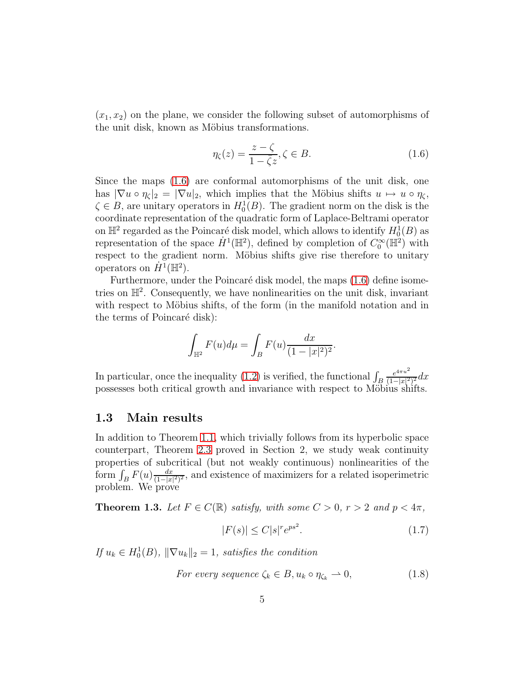$(x_1, x_2)$  on the plane, we consider the following subset of automorphisms of the unit disk, known as Möbius transformations.

<span id="page-4-0"></span>
$$
\eta_{\zeta}(z) = \frac{z - \zeta}{1 - \overline{\zeta}z}, \zeta \in B. \tag{1.6}
$$

Since the maps [\(1.6\)](#page-4-0) are conformal automorphisms of the unit disk, one has  $|\nabla u \circ \eta_{\zeta}|_2 = |\nabla u|_2$ , which implies that the Möbius shifts  $u \mapsto u \circ \eta_{\zeta}$ ,  $\zeta \in B$ , are unitary operators in  $H_0^1(B)$ . The gradient norm on the disk is the coordinate representation of the quadratic form of Laplace-Beltrami operator on  $\mathbb{H}^2$  regarded as the Poincaré disk model, which allows to identify  $H_0^1(B)$  as representation of the space  $\dot{H}^1(\mathbb{H}^2)$ , defined by completion of  $C_0^{\infty}(\mathbb{H}^2)$  with respect to the gradient norm. Möbius shifts give rise therefore to unitary operators on  $\dot{H}^1(\mathbb{H}^2)$ .

Furthermore, under the Poincaré disk model, the maps [\(1.6\)](#page-4-0) define isometries on  $\mathbb{H}^2$ . Consequently, we have nonlinearities on the unit disk, invariant with respect to Möbius shifts, of the form (in the manifold notation and in the terms of Poincaré disk):

$$
\int_{\mathbb{H}^2} F(u) d\mu = \int_B F(u) \frac{dx}{(1 - |x|^2)^2}.
$$

In particular, once the inequality [\(1.2\)](#page-1-0) is verified, the functional  $\int_B$  $e^{4\pi u^2}$  $\frac{e^{4\pi u}}{(1-|x|^2)^2}dx$ possesses both critical growth and invariance with respect to Möbius shifts.

#### 1.3 Main results

In addition to Theorem [1.1,](#page-1-1) which trivially follows from its hyperbolic space counterpart, Theorem [2.3](#page-6-0) proved in Section 2, we study weak continuity properties of subcritical (but not weakly continuous) nonlinearities of the form  $\int_B F(u) \frac{dx}{(1-|x|)}$  $\frac{dx}{(1-|x|^2)^2}$ , and existence of maximizers for a related isoperimetric problem. We prove

<span id="page-4-2"></span>**Theorem 1.3.** Let  $F \in C(\mathbb{R})$  satisfy, with some  $C > 0$ ,  $r > 2$  and  $p < 4\pi$ ,

<span id="page-4-1"></span>
$$
|F(s)| \le C|s|^r e^{ps^2}.\tag{1.7}
$$

If  $u_k \in H_0^1(B)$ ,  $\|\nabla u_k\|_2 = 1$ , satisfies the condition

<span id="page-4-3"></span>For every sequence 
$$
\zeta_k \in B
$$
,  $u_k \circ \eta_{\zeta_k} \to 0$ , 
$$
(1.8)
$$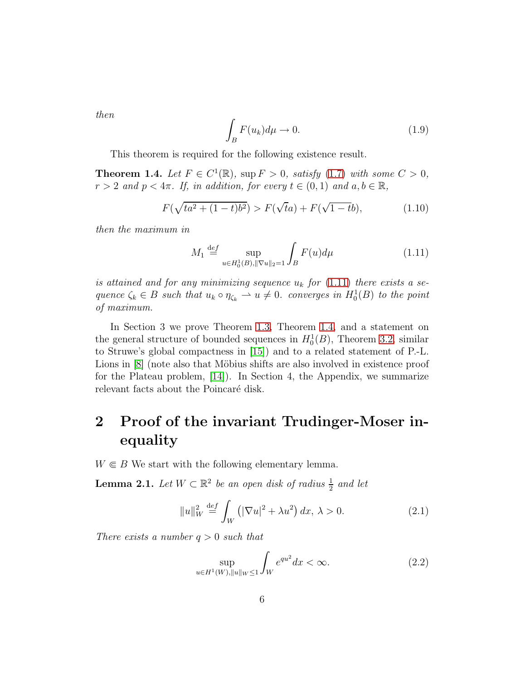then

<span id="page-5-4"></span>
$$
\int_{B} F(u_k) d\mu \to 0. \tag{1.9}
$$

<span id="page-5-1"></span>This theorem is required for the following existence result.

**Theorem 1.4.** Let  $F \in C^1(\mathbb{R})$ , sup  $F > 0$ , satisfy [\(1.7\)](#page-4-1) with some  $C > 0$ ,  $r > 2$  and  $p < 4\pi$ . If, in addition, for every  $t \in (0, 1)$  and  $a, b \in \mathbb{R}$ ,

<span id="page-5-5"></span>
$$
F(\sqrt{ta^2 + (1 - t)b^2}) > F(\sqrt{t}a) + F(\sqrt{1 - tb}),
$$
\n(1.10)

then the maximum in

<span id="page-5-0"></span>
$$
M_1 \stackrel{\text{def}}{=} \sup_{u \in H_0^1(B), ||\nabla u||_2 = 1} \int_B F(u) d\mu \tag{1.11}
$$

is attained and for any minimizing sequence  $u_k$  for [\(1.11\)](#page-5-0) there exists a sequence  $\zeta_k \in B$  such that  $u_k \circ \eta_{\zeta_k} \to u \neq 0$ . converges in  $H_0^1(B)$  to the point of maximum.

In Section 3 we prove Theorem [1.3,](#page-4-2) Theorem [1.4,](#page-5-1) and a statement on the general structure of bounded sequences in  $H_0^1(B)$ , Theorem [3.2,](#page-10-0) similar to Struwe's global compactness in [\[15\]](#page-14-2)) and to a related statement of P.-L. Lions in [\[8\]](#page-13-7) (note also that Möbius shifts are also involved in existence proof for the Plateau problem, [\[14\]](#page-13-8)). In Section 4, the Appendix, we summarize relevant facts about the Poincaré disk.

## 2 Proof of the invariant Trudinger-Moser inequality

<span id="page-5-3"></span> $W \in B$  We start with the following elementary lemma.

**Lemma 2.1.** Let  $W \subset \mathbb{R}^2$  be an open disk of radius  $\frac{1}{2}$  and let

$$
||u||_W^2 \stackrel{\text{def}}{=} \int_W \left( |\nabla u|^2 + \lambda u^2 \right) dx, \ \lambda > 0. \tag{2.1}
$$

There exists a number  $q > 0$  such that

<span id="page-5-2"></span>
$$
\sup_{u \in H^1(W), \|u\|_W \le 1} \int_W e^{qu^2} dx < \infty. \tag{2.2}
$$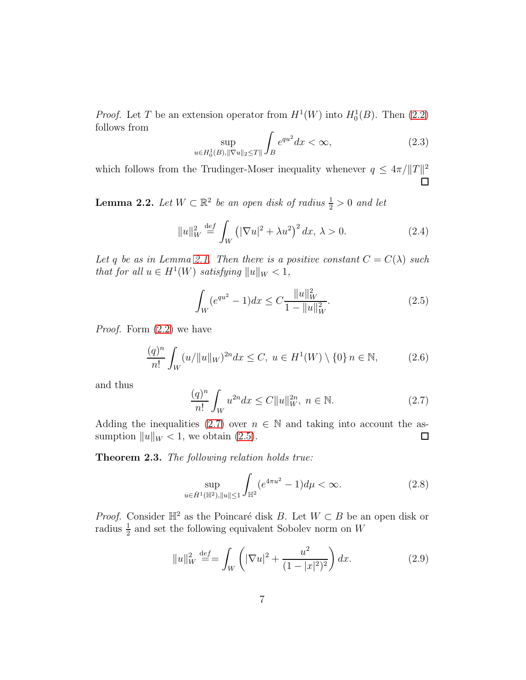*Proof.* Let T be an extension operator from  $H^1(W)$  into  $H_0^1(B)$ . Then [\(2.2\)](#page-5-2) follows from

$$
\sup_{u \in H_0^1(B), \|\nabla u\|_2 \le T\|} \int_B e^{qu^2} dx < \infty,\tag{2.3}
$$

which follows from the Trudinger-Moser inequality whenever  $q \leq 4\pi / ||T||^2$ 

<span id="page-6-3"></span>**Lemma 2.2.** Let  $W \subset \mathbb{R}^2$  be an open disk of radius  $\frac{1}{2} > 0$  and let

$$
||u||_W^2 \stackrel{\text{def}}{=} \int_W \left( |\nabla u|^2 + \lambda u^2 \right)^2 dx, \ \lambda > 0. \tag{2.4}
$$

Let q be as in Lemma [2.1.](#page-5-3) Then there is a positive constant  $C = C(\lambda)$  such that for all  $u \in H^1(W)$  satisfying  $||u||_W < 1$ ,

<span id="page-6-2"></span>
$$
\int_{W} (e^{qu^{2}} - 1)dx \le C \frac{\|u\|_{W}^{2}}{1 - \|u\|_{W}^{2}}.
$$
\n(2.5)

Proof. Form [\(2.2\)](#page-5-2) we have

$$
\frac{(q)^n}{n!} \int_W (u/\|u\|_W)^{2n} dx \le C, \ u \in H^1(W) \setminus \{0\} \ n \in \mathbb{N}, \tag{2.6}
$$

and thus

<span id="page-6-1"></span>
$$
\frac{(q)^n}{n!} \int_W u^{2n} dx \le C \|u\|_W^{2n}, \ n \in \mathbb{N}.
$$
 (2.7)

Adding the inequalities [\(2.7\)](#page-6-1) over  $n \in \mathbb{N}$  and taking into account the assumption  $||u||_W < 1$ , we obtain (2.5). sumption  $||u||_W < 1$ , we obtain [\(2.5\)](#page-6-2).

<span id="page-6-0"></span>Theorem 2.3. The following relation holds true:

<span id="page-6-4"></span>
$$
\sup_{u \in \dot{H}^1(\mathbb{H}^2), \|u\| \le 1} \int_{\mathbb{H}^2} (e^{4\pi u^2} - 1) d\mu < \infty. \tag{2.8}
$$

*Proof.* Consider  $\mathbb{H}^2$  as the Poincaré disk B. Let  $W \subset B$  be an open disk or radius  $\frac{1}{2}$  and set the following equivalent Sobolev norm on W

$$
||u||_W^2 \stackrel{\text{def}}{=} \int_W \left( |\nabla u|^2 + \frac{u^2}{(1 - |x|^2)^2} \right) dx. \tag{2.9}
$$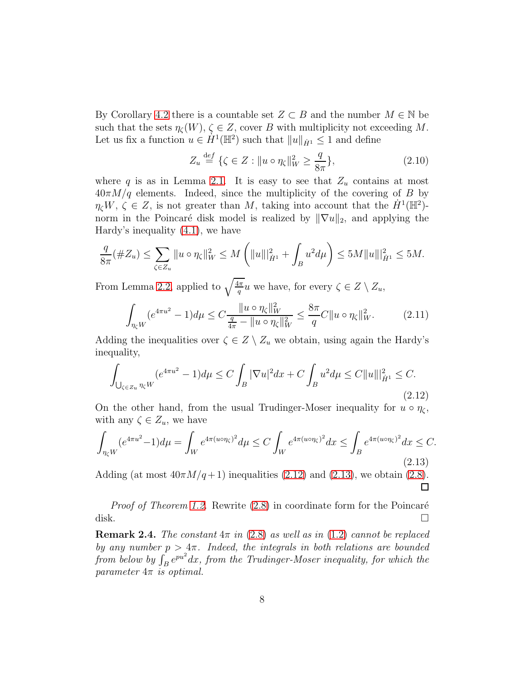By Corollary [4.2](#page-12-0) there is a countable set  $Z \subset B$  and the number  $M \in \mathbb{N}$  be such that the sets  $\eta_{\mathcal{C}}(W)$ ,  $\zeta \in Z$ , cover B with multiplicity not exceeding M. Let us fix a function  $u \in \dot{H}^1(\mathbb{H}^2)$  such that  $||u||_{\dot{H}^1} \leq 1$  and define

$$
Z_u \stackrel{\text{def}}{=} \{ \zeta \in Z : ||u \circ \eta_{\zeta}||_W^2 \ge \frac{q}{8\pi} \},\tag{2.10}
$$

where q is as in Lemma [2.1.](#page-5-3) It is easy to see that  $Z_u$  contains at most  $40\pi M/q$  elements. Indeed, since the multiplicity of the covering of B by  $\eta_{\zeta}W, \zeta \in Z$ , is not greater than M, taking into account that the  $\dot{H}^1(\mathbb{H}^2)$ norm in the Poincaré disk model is realized by  $\|\nabla u\|_2$ , and applying the Hardy's inequality [\(4.1\)](#page-11-0), we have

$$
\frac{q}{8\pi}(\#Z_u) \le \sum_{\zeta \in Z_u} \|u \circ \eta_{\zeta}\|_{W}^2 \le M \left( \|u\|_{\dot{H}^1}^2 + \int_B u^2 d\mu \right) \le 5M \|u\|_{\dot{H}^1}^2 \le 5M.
$$

From Lemma [2.2,](#page-6-3) applied to  $\sqrt{\frac{4\pi}{q}}u$  we have, for every  $\zeta \in Z \setminus Z_u$ ,

$$
\int_{\eta_{\zeta}W} (e^{4\pi u^2} - 1) d\mu \le C \frac{\|u \circ \eta_{\zeta}\|_{W}^2}{\frac{q}{4\pi} - \|u \circ \eta_{\zeta}\|_{W}^2} \le \frac{8\pi}{q} C \|u \circ \eta_{\zeta}\|_{W}^2. \tag{2.11}
$$

Adding the inequalities over  $\zeta \in Z \setminus Z_u$  we obtain, using again the Hardy's inequality,

<span id="page-7-0"></span>
$$
\int_{\bigcup_{\zeta \in Z_u} \eta_{\zeta} W} (e^{4\pi u^2} - 1) d\mu \le C \int_B |\nabla u|^2 dx + C \int_B u^2 d\mu \le C \|u\|_{\dot{H}^1}^2 \le C. \tag{2.12}
$$

On the other hand, from the usual Trudinger-Moser inequality for  $u \circ \eta_c$ , with any  $\zeta \in Z_u$ , we have

<span id="page-7-1"></span>
$$
\int_{\eta_{\zeta}W} (e^{4\pi u^2} - 1) d\mu = \int_W e^{4\pi (u \circ \eta_{\zeta})^2} d\mu \le C \int_W e^{4\pi (u \circ \eta_{\zeta})^2} dx \le \int_B e^{4\pi (u \circ \eta_{\zeta})^2} dx \le C.
$$
\n(2.13)

Adding (at most  $40\pi M/q+1$ ) inequalities [\(2.12\)](#page-7-0) and [\(2.13\)](#page-7-1), we obtain [\(2.8\)](#page-6-4).  $\Box$ 

*Proof of Theorem [1.2.](#page-1-0)* Rewrite  $(2.8)$  in coordinate form for the Poincaré disk.  $\square$ 

**Remark 2.4.** The constant  $4\pi$  in [\(2.8\)](#page-6-4) as well as in [\(1.2\)](#page-1-0) cannot be replaced by any number  $p > 4\pi$ . Indeed, the integrals in both relations are bounded from below by  $\int_B e^{pu^2} dx$ , from the Trudinger-Moser inequality, for which the parameter  $4\pi$  is optimal.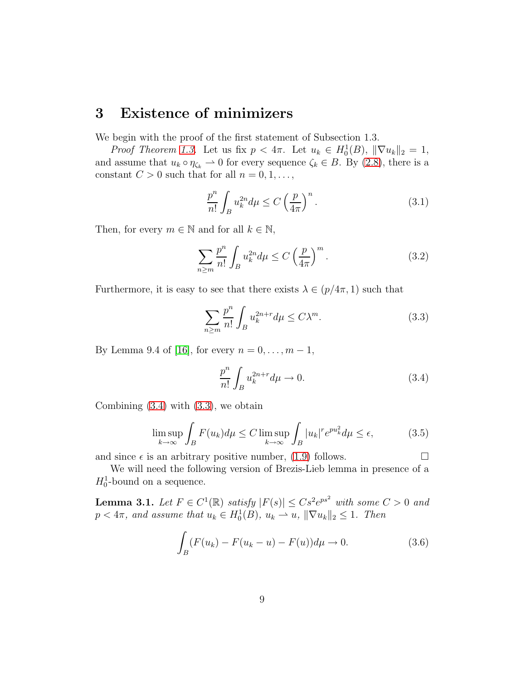## 3 Existence of minimizers

We begin with the proof of the first statement of Subsection 1.3.

*Proof Theorem [1.3.](#page-4-2)* Let us fix  $p < 4\pi$ . Let  $u_k \in H_0^1(B)$ ,  $\|\nabla u_k\|_2 = 1$ , and assume that  $u_k \circ \eta_{\zeta_k} \to 0$  for every sequence  $\zeta_k \in B$ . By [\(2.8\)](#page-6-4), there is a constant  $C > 0$  such that for all  $n = 0, 1, \ldots$ ,

$$
\frac{p^n}{n!} \int_B u_k^{2n} d\mu \le C \left(\frac{p}{4\pi}\right)^n.
$$
\n(3.1)

Then, for every  $m \in \mathbb{N}$  and for all  $k \in \mathbb{N}$ ,

$$
\sum_{n\geq m} \frac{p^n}{n!} \int_B u_k^{2n} d\mu \leq C \left(\frac{p}{4\pi}\right)^m.
$$
 (3.2)

Furthermore, it is easy to see that there exists  $\lambda \in (p/4\pi, 1)$  such that

<span id="page-8-1"></span>
$$
\sum_{n\geq m} \frac{p^n}{n!} \int_B u_k^{2n+r} d\mu \leq C\lambda^m. \tag{3.3}
$$

By Lemma 9.4 of [\[16\]](#page-14-1), for every  $n = 0, ..., m - 1$ ,

<span id="page-8-0"></span>
$$
\frac{p^n}{n!} \int_B u_k^{2n+r} d\mu \to 0. \tag{3.4}
$$

Combining  $(3.4)$  with  $(3.3)$ , we obtain

$$
\limsup_{k \to \infty} \int_{B} F(u_k) d\mu \le C \limsup_{k \to \infty} \int_{B} |u_k|^r e^{pu_k^2} d\mu \le \epsilon,
$$
 (3.5)

and since  $\epsilon$  is an arbitrary positive number, [\(1.9\)](#page-5-4) follows.

<span id="page-8-3"></span>We will need the following version of Brezis-Lieb lemma in presence of a  $H_0^1$ -bound on a sequence.

**Lemma 3.1.** Let  $F \in C^1(\mathbb{R})$  satisfy  $|F(s)| \leq C s^2 e^{ps^2}$  with some  $C > 0$  and  $p < 4\pi$ , and assume that  $u_k \in H_0^1(B)$ ,  $u_k \rightharpoonup u$ ,  $\|\nabla u_k\|_2 \leq 1$ . Then

<span id="page-8-2"></span>
$$
\int_{B} (F(u_k) - F(u_k - u) - F(u))d\mu \to 0.
$$
 (3.6)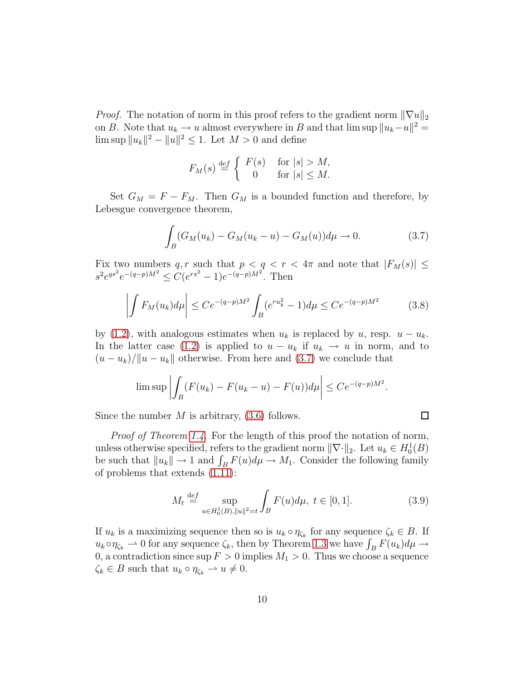*Proof.* The notation of norm in this proof refers to the gradient norm  $\|\nabla u\|_2$ on B. Note that  $u_k \to u$  almost everywhere in B and that  $\limsup \|u_k-u\|^2 =$  $\limsup \|u_k\|^2 - \|u\|^2 \le 1$ . Let  $M > 0$  and define

$$
F_M(s) \stackrel{\text{def}}{=} \begin{cases} F(s) & \text{for } |s| > M, \\ 0 & \text{for } |s| \le M. \end{cases}
$$

Set  $G_M = F - F_M$ . Then  $G_M$  is a bounded function and therefore, by Lebesgue convergence theorem,

<span id="page-9-0"></span>
$$
\int_{B} (G_M(u_k) - G_M(u_k - u) - G_M(u)) d\mu \to 0.
$$
 (3.7)

Fix two numbers q, r such that  $p < q < r < 4\pi$  and note that  $|F_M(s)| \le$  $s^2 e^{qs^2} e^{-(q-p)M^2} \leq C(e^{rs^2}-1)e^{-(q-p)M^2}$ . Then

$$
\left| \int F_M(u_k) d\mu \right| \le C e^{-(q-p)M^2} \int_B (e^{ru_k^2} - 1) d\mu \le C e^{-(q-p)M^2} \tag{3.8}
$$

by [\(1.2\)](#page-1-0), with analogous estimates when  $u_k$  is replaced by u, resp.  $u - u_k$ . In the latter case [\(1.2\)](#page-1-0) is applied to  $u - u_k$  if  $u_k \to u$  in norm, and to  $(u - u_k)/\|u - u_k\|$  otherwise. From here and [\(3.7\)](#page-9-0) we conclude that

$$
\limsup \left| \int_B (F(u_k) - F(u_k - u) - F(u)) d\mu \right| \leq C e^{-(q-p)M^2}.
$$

Since the number  $M$  is arbitrary,  $(3.6)$  follows.

Proof of Theorem [1.4.](#page-5-1) For the length of this proof the notation of norm, unless otherwise specified, refers to the gradient norm  $\|\nabla \cdot \|_2$ . Let  $u_k \in H_0^1(B)$ be such that  $||u_k|| \to 1$  and  $\int_B F(u) d\mu \to M_1$ . Consider the following family of problems that extends [\(1.11\)](#page-5-0):

$$
M_t \stackrel{\text{def}}{=} \sup_{u \in H_0^1(B), ||u||^2 = t} \int_B F(u) d\mu, \ t \in [0, 1]. \tag{3.9}
$$

 $\Box$ 

If  $u_k$  is a maximizing sequence then so is  $u_k \circ \eta_{\zeta_k}$  for any sequence  $\zeta_k \in B$ . If  $u_k \circ \eta_{\zeta_k} \to 0$  for any sequence  $\zeta_k$ , then by Theorem [1.3](#page-4-2) we have  $\int_B F(u_k) d\mu \to$ 0, a contradiction since  $\sup F > 0$  implies  $M_1 > 0$ . Thus we choose a sequence  $\zeta_k \in B$  such that  $u_k \circ \eta_{\zeta_k} \to u \neq 0$ .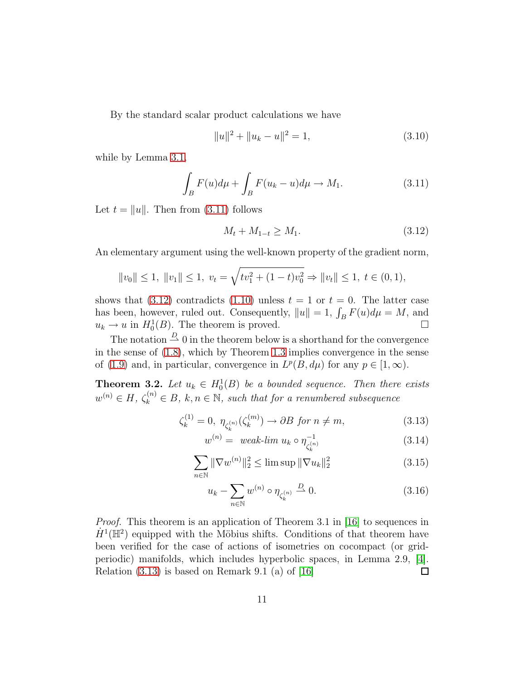By the standard scalar product calculations we have

$$
||u||^2 + ||u_k - u||^2 = 1,
$$
\n(3.10)

while by Lemma [3.1,](#page-8-3)

<span id="page-10-1"></span>
$$
\int_{B} F(u)d\mu + \int_{B} F(u_k - u)d\mu \to M_1.
$$
\n(3.11)

Let  $t = ||u||$ . Then from [\(3.11\)](#page-10-1) follows

<span id="page-10-2"></span>
$$
M_t + M_{1-t} \ge M_1. \tag{3.12}
$$

An elementary argument using the well-known property of the gradient norm,

$$
||v_0|| \le 1, ||v_1|| \le 1, v_t = \sqrt{tv_1^2 + (1-t)v_0^2} \Rightarrow ||v_t|| \le 1, t \in (0,1),
$$

shows that  $(3.12)$  contradicts  $(1.10)$  unless  $t = 1$  or  $t = 0$ . The latter case has been, however, ruled out. Consequently,  $||u|| = 1$ ,  $\int_B F(u) d\mu = M$ , and  $u_k \to u$  in  $H_0^1(B)$ . The theorem is proved.

The notation  $\stackrel{D}{\rightharpoonup} 0$  in the theorem below is a shorthand for the convergence in the sense of [\(1.8\)](#page-4-3), which by Theorem [1.3](#page-4-2) implies convergence in the sense of [\(1.9\)](#page-5-4) and, in particular, convergence in  $L^p(B, d\mu)$  for any  $p \in [1, \infty)$ .

<span id="page-10-0"></span>**Theorem 3.2.** Let  $u_k \in H_0^1(B)$  be a bounded sequence. Then there exists  $w^{(n)} \in H$ ,  $\zeta_k^{(n)} \in B$ ,  $k, n \in \mathbb{N}$ , such that for a renumbered subsequence

$$
\zeta_k^{(1)} = 0, \ \eta_{\zeta_k^{(n)}}(\zeta_k^{(m)}) \to \partial B \text{ for } n \neq m,
$$
\n(3.13)

<span id="page-10-3"></span>
$$
w^{(n)} = \text{ weak-lim } u_k \circ \eta_{\zeta_k^{(n)}}^{-1} \tag{3.14}
$$

$$
\sum_{n \in \mathbb{N}} \|\nabla w^{(n)}\|_2^2 \le \limsup \| \nabla u_k \|_2^2 \tag{3.15}
$$

$$
u_k - \sum_{n \in \mathbb{N}} w^{(n)} \circ \eta_{\zeta_k^{(n)}} \stackrel{D}{\rightharpoonup} 0. \tag{3.16}
$$

*Proof.* This theorem is an application of Theorem 3.1 in [\[16\]](#page-14-1) to sequences in  $\dot{H}^1(\mathbb{H}^2)$  equipped with the Möbius shifts. Conditions of that theorem have been verified for the case of actions of isometries on cocompact (or gridperiodic) manifolds, which includes hyperbolic spaces, in Lemma 2.9, [\[4\]](#page-13-9). Relation  $(3.13)$  is based on Remark 9.1 (a) of [\[16\]](#page-14-1)  $\Box$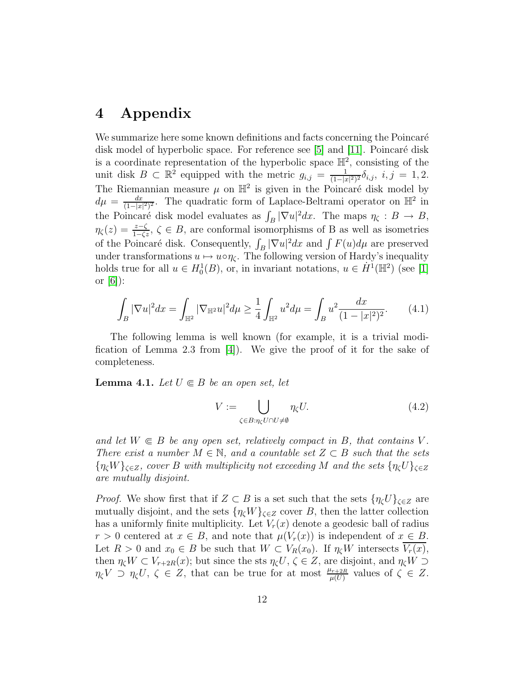## 4 Appendix

We summarize here some known definitions and facts concerning the Poincaré disk model of hyperbolic space. For reference see  $[5]$  and  $[11]$ . Poincaré disk is a coordinate representation of the hyperbolic space  $\mathbb{H}^2$ , consisting of the unit disk  $B \subset \mathbb{R}^2$  equipped with the metric  $g_{i,j} = \frac{1}{(1-|x|)^2}$  $\frac{1}{(1-|x|^2)^2}\delta_{i,j}, i,j = 1,2.$ The Riemannian measure  $\mu$  on  $\mathbb{H}^2$  is given in the Poincaré disk model by  $d\mu = \frac{dx}{(1-|x|)}$  $\frac{dx}{(1-|x|^2)^2}$ . The quadratic form of Laplace-Beltrami operator on  $\mathbb{H}^2$  in the Poincaré disk model evaluates as  $\int_B |\nabla u|^2 dx$ . The maps  $\eta_{\zeta} : B \to B$ ,  $\eta_{\zeta}(z) = \frac{z-\zeta}{1-\zeta z}$ ,  $\zeta \in B$ , are conformal isomorphisms of B as well as isometries of the Poincaré disk. Consequently,  $\int_B |\nabla u|^2 dx$  and  $\int F(u) d\mu$  are preserved under transformations  $u \mapsto u \circ \eta_{\zeta}$ . The following version of Hardy's inequality holds true for all  $u \in H_0^1(B)$ , or, in invariant notations,  $u \in \dot{H}^1(\mathbb{H}^2)$  (see [\[1\]](#page-12-1) or  $[6]$ :

<span id="page-11-0"></span>
$$
\int_{B} |\nabla u|^2 dx = \int_{\mathbb{H}^2} |\nabla \mathbb{H}^2 u|^2 d\mu \ge \frac{1}{4} \int_{\mathbb{H}^2} u^2 d\mu = \int_{B} u^2 \frac{dx}{(1 - |x|^2)^2}.
$$
 (4.1)

The following lemma is well known (for example, it is a trivial modification of Lemma 2.3 from  $[4]$ . We give the proof of it for the sake of completeness.

<span id="page-11-1"></span>**Lemma 4.1.** Let  $U \in B$  be an open set, let

<span id="page-11-2"></span>
$$
V := \bigcup_{\zeta \in B: \eta_{\zeta} U \cap U \neq \emptyset} \eta_{\zeta} U. \tag{4.2}
$$

and let  $W \in B$  be any open set, relatively compact in B, that contains V. There exist a number  $M \in \mathbb{N}$ , and a countable set  $Z \subset B$  such that the sets  ${\{\eta_{\zeta}W\}}_{\zeta\in Z}$ , cover B with multiplicity not exceeding M and the sets  ${\{\eta_{\zeta}U\}}_{\zeta\in Z}$ are mutually disjoint.

*Proof.* We show first that if  $Z \subset B$  is a set such that the sets  $\{\eta_{\zeta}U\}_{\zeta \in Z}$  are mutually disjoint, and the sets  $\{\eta_{\zeta}W\}_{\zeta \in Z}$  cover B, then the latter collection has a uniformly finite multiplicity. Let  $V_r(x)$  denote a geodesic ball of radius  $r > 0$  centered at  $x \in B$ , and note that  $\mu(V_r(x))$  is independent of  $x \in B$ . Let  $R > 0$  and  $x_0 \in B$  be such that  $W \subset V_R(x_0)$ . If  $\eta_c W$  intersects  $\overline{V_r(x)}$ , then  $\eta_{\zeta}W \subset V_{r+2R}(x)$ ; but since the sts  $\eta_{\zeta}U, \zeta \in Z$ , are disjoint, and  $\eta_{\zeta}W \supset$  $\eta_{\zeta}V \supset \eta_{\zeta}U, \ \zeta \in Z$ , that can be true for at most  $\frac{\mu_{r+2R}}{\mu(U)}$  values of  $\zeta \in Z$ .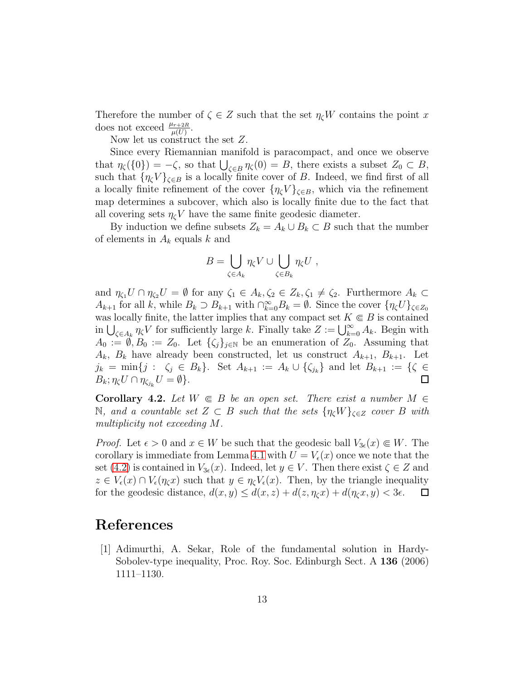Therefore the number of  $\zeta \in Z$  such that the set  $\eta_{\zeta}W$  contains the point x does not exceed  $\frac{\mu_{r+2R}}{\mu(U)}$ .

Now let us construct the set Z.

Since every Riemannian manifold is paracompact, and once we observe that  $\eta_{\zeta}(\{0\}) = -\zeta$ , so that  $\bigcup_{\zeta \in B} \eta_{\zeta}(0) = B$ , there exists a subset  $Z_0 \subset B$ , such that  $\{\eta_{\zeta}V\}_{\zeta\in B}$  is a locally finite cover of B. Indeed, we find first of all a locally finite refinement of the cover  $\{\eta_{\zeta}V\}_{\zeta\in B}$ , which via the refinement map determines a subcover, which also is locally finite due to the fact that all covering sets  $\eta_c V$  have the same finite geodesic diameter.

By induction we define subsets  $Z_k = A_k \cup B_k \subset B$  such that the number of elements in  $A_k$  equals k and

$$
B = \bigcup_{\zeta \in A_k} \eta_{\zeta} V \cup \bigcup_{\zeta \in B_k} \eta_{\zeta} U ,
$$

and  $\eta_{\zeta_1}U \cap \eta_{\zeta_2}U = \emptyset$  for any  $\zeta_1 \in A_k, \zeta_2 \in Z_k, \zeta_1 \neq \zeta_2$ . Furthermore  $A_k \subset$  $A_{k+1}$  for all k, while  $B_k \supset B_{k+1}$  with  $\bigcap_{k=0}^{\infty} B_k = \emptyset$ . Since the cover  $\{\eta_{\zeta} U\}_{\zeta \in Z_0}$ was locally finite, the latter implies that any compact set  $K\Subset B$  is contained in  $\bigcup_{\zeta \in A_k} \eta_{\zeta} V$  for sufficiently large k. Finally take  $Z := \bigcup_{k=0}^{\infty} A_k$ . Begin with  $A_0 := \emptyset, B_0 := Z_0$ . Let  $\{\zeta_i\}_{i\in\mathbb{N}}$  be an enumeration of  $Z_0$ . Assuming that  $A_k$ ,  $B_k$  have already been constructed, let us construct  $A_{k+1}$ ,  $B_{k+1}$ . Let  $j_k = \min\{j : \zeta_j \in B_k\}.$  Set  $A_{k+1} := A_k \cup \{\zeta_{j_k}\}\$ and let  $B_{k+1} := \{\zeta \in B_k\}.$  $B_k; \eta_{\zeta} U \cap \eta_{\zeta_{j_k}} U = \emptyset$ .

<span id="page-12-0"></span>**Corollary 4.2.** Let  $W \in B$  be an open set. There exist a number  $M \in$ N, and a countable set  $Z \subset B$  such that the sets  $\{\eta_{\zeta}W\}_{\zeta \in Z}$  cover B with multiplicity not exceeding M.

*Proof.* Let  $\epsilon > 0$  and  $x \in W$  be such that the geodesic ball  $V_{3\epsilon}(x) \subseteq W$ . The corollary is immediate from Lemma [4.1](#page-11-1) with  $U = V_{\epsilon}(x)$  once we note that the set [\(4.2\)](#page-11-2) is contained in  $V_{3\epsilon}(x)$ . Indeed, let  $y \in V$ . Then there exist  $\zeta \in Z$  and  $z \in V_{\epsilon}(x) \cap V_{\epsilon}(\eta_c x)$  such that  $y \in \eta_c V_{\epsilon}(x)$ . Then, by the triangle inequality for the geodesic distance,  $d(x, y) \leq d(x, z) + d(z, \eta_c x) + d(\eta_c x, y) < 3\epsilon$ .  $\Box$ 

## <span id="page-12-1"></span>References

[1] Adimurthi, A. Sekar, Role of the fundamental solution in Hardy-Sobolev-type inequality, Proc. Roy. Soc. Edinburgh Sect. A 136 (2006) 1111–1130.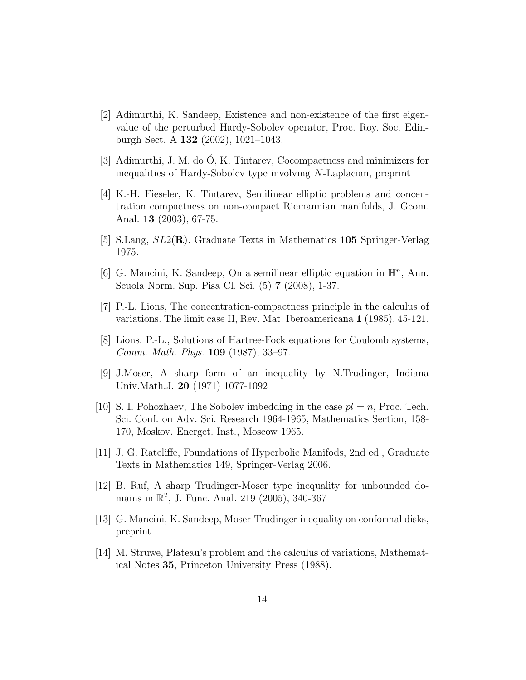- <span id="page-13-6"></span>[2] Adimurthi, K. Sandeep, Existence and non-existence of the first eigenvalue of the perturbed Hardy-Sobolev operator, Proc. Roy. Soc. Edinburgh Sect. A 132 (2002), 1021–1043.
- <span id="page-13-9"></span><span id="page-13-5"></span>[3] Adimurthi, J. M. do O, K. Tintarev, Cocompactness and minimizers for ´ inequalities of Hardy-Sobolev type involving N-Laplacian, preprint
- [4] K.-H. Fieseler, K. Tintarev, Semilinear elliptic problems and concentration compactness on non-compact Riemannian manifolds, J. Geom. Anal. 13 (2003), 67-75.
- <span id="page-13-12"></span><span id="page-13-10"></span>[5] S.Lang,  $SL2(\mathbf{R})$ . Graduate Texts in Mathematics 105 Springer-Verlag 1975.
- [6] G. Mancini, K. Sandeep, On a semilinear elliptic equation in  $\mathbb{H}^n$ , Ann. Scuola Norm. Sup. Pisa Cl. Sci. (5) 7 (2008), 1-37.
- <span id="page-13-7"></span><span id="page-13-4"></span>[7] P.-L. Lions, The concentration-compactness principle in the calculus of variations. The limit case II, Rev. Mat. Iberoamericana 1 (1985), 45-121.
- <span id="page-13-2"></span>[8] Lions, P.-L., Solutions of Hartree-Fock equations for Coulomb systems, Comm. Math. Phys. 109 (1987), 33–97.
- [9] J.Moser, A sharp form of an inequality by N.Trudinger, Indiana Univ.Math.J. 20 (1971) 1077-1092
- <span id="page-13-1"></span>[10] S. I. Pohozhaev, The Sobolev imbedding in the case  $pl = n$ , Proc. Tech. Sci. Conf. on Adv. Sci. Research 1964-1965, Mathematics Section, 158- 170, Moskov. Energet. Inst., Moscow 1965.
- <span id="page-13-11"></span><span id="page-13-3"></span>[11] J. G. Ratcliffe, Foundations of Hyperbolic Manifods, 2nd ed., Graduate Texts in Mathematics 149, Springer-Verlag 2006.
- [12] B. Ruf, A sharp Trudinger-Moser type inequality for unbounded domains in  $\mathbb{R}^2$ , J. Func. Anal. 219 (2005), 340-367
- <span id="page-13-0"></span>[13] G. Mancini, K. Sandeep, Moser-Trudinger inequality on conformal disks, preprint
- <span id="page-13-8"></span>[14] M. Struwe, Plateau's problem and the calculus of variations, Mathematical Notes 35, Princeton University Press (1988).